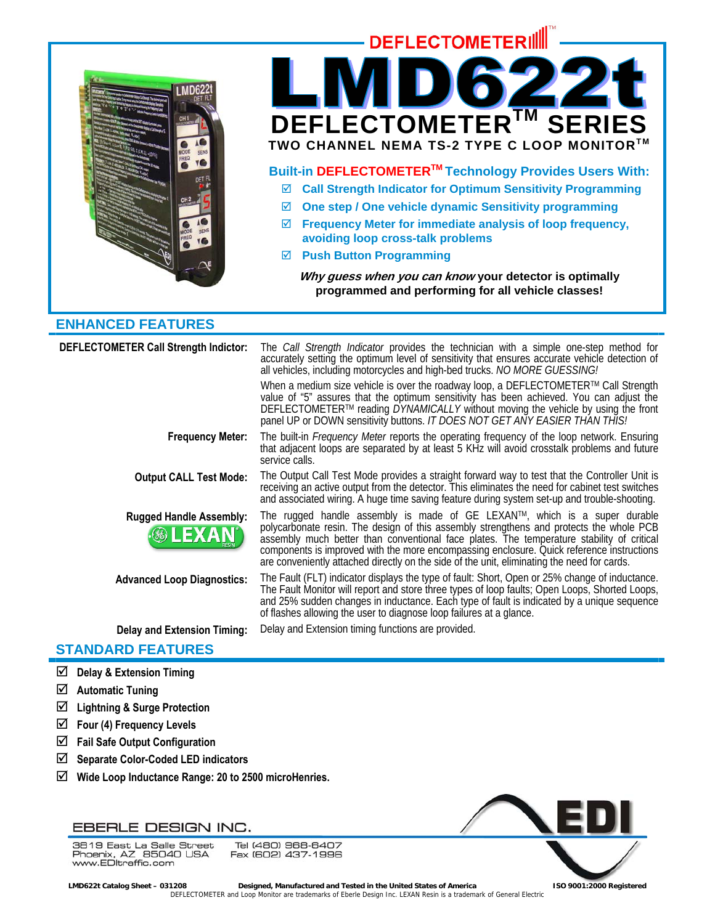

# **DEFLECTOMETERIII** DEFLECTOMETER<sup>IM</sup> SE **TWO CHANNEL NEMA TS-2 TYPE C LOOP MONITOR™ Built-in DEFLECTOMETERTM Technology Provides Users With:**  ; **Call Strength Indicator for Optimum Sensitivity Programming**  ; **One step / One vehicle dynamic Sensitivity programming**  ; **Frequency Meter for immediate analysis of loop frequency, avoiding loop cross-talk problems**

; **Push Button Programming** 

**Why guess when you can know your detector is optimally programmed and performing for all vehicle classes!** 

# **ENHANCED FEATURES**

| <b>DEFLECTOMETER Call Strength Indictor:</b>     | The <i>Call Strength Indicator</i> provides the technician with a simple one-step method for<br>accurately setting the optimum level of sensitivity that ensures accurate vehicle detection of<br>all vehicles, including motorcycles and high-bed trucks. NO MORE GUESSING!<br>When a medium size vehicle is over the roadway loop, a DEFLECTOMETER™ Call Strength<br>value of "5" assures that the optimum sensitivity has been achieved. You can adjust the<br>DEFLECTOMETER™ reading DYNAMICALLY without moving the vehicle by using the front<br>panel UP or DOWN sensitivity buttons. IT DOES NOT GET ANY EASIER THAN THIS! |
|--------------------------------------------------|-----------------------------------------------------------------------------------------------------------------------------------------------------------------------------------------------------------------------------------------------------------------------------------------------------------------------------------------------------------------------------------------------------------------------------------------------------------------------------------------------------------------------------------------------------------------------------------------------------------------------------------|
| <b>Frequency Meter:</b>                          | The built-in <i>Frequency Meter</i> reports the operating frequency of the loop network. Ensuring<br>that adjacent loops are separated by at least 5 KHz will avoid crosstalk problems and future<br>service calls.                                                                                                                                                                                                                                                                                                                                                                                                               |
| <b>Output CALL Test Mode:</b>                    | The Output Call Test Mode provides a straight forward way to test that the Controller Unit is<br>receiving an active output from the detector. This eliminates the need for cabinet test switches<br>and associated wiring. A huge time saving feature during system set-up and trouble-shooting.                                                                                                                                                                                                                                                                                                                                 |
| <b>Rugged Handle Assembly:</b><br><b>®LEXAN®</b> | The rugged handle assembly is made of GE LEXAN <sup>TM</sup> , which is a super durable<br>polycarbonate resin. The design of this assembly strengthens and protects the whole PCB<br>assembly much better than conventional face plates. The temperature stability of critical<br>components is improved with the more encompassing enclosure. Quick reference instructions<br>are conveniently attached directly on the side of the unit, eliminating the need for cards.                                                                                                                                                       |
| <b>Advanced Loop Diagnostics:</b>                | The Fault (FLT) indicator displays the type of fault: Short, Open or 25% change of inductance.<br>The Fault Monitor will report and store three types of loop faults; Open Loops, Shorted Loops,<br>and 25% sudden changes in inductance. Each type of fault is indicated by a unique sequence<br>of flashes allowing the user to diagnose loop failures at a glance.                                                                                                                                                                                                                                                             |
| <b>Delay and Extension Timing:</b>               | Delay and Extension timing functions are provided.                                                                                                                                                                                                                                                                                                                                                                                                                                                                                                                                                                                |

# **STANDARD FEATURES**

- ; **Delay & Extension Timing**
- ; **Automatic Tuning**
- ; **Lightning & Surge Protection**
- $\boxtimes$  Four (4) Frequency Levels
- ; **Fail Safe Output Configuration**
- ; **Separate Color-Coded LED indicators**
- ; **Wide Loop Inductance Range: 20 to 2500 microHenries.**

# EBERLE DESIGN INC.

Tel (480) 968-6407 3819 East La Salle Street So To East La Salle Street<br>Phoenix, AZ 85040 USA<br>www.EDltraffic.com Fax (602) 437-1996